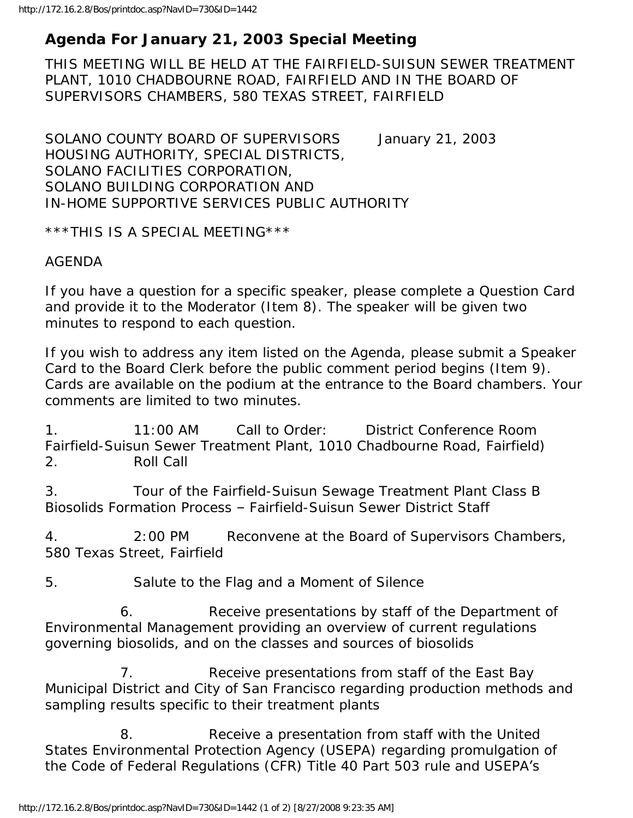## **Agenda For January 21, 2003 Special Meeting**

THIS MEETING WILL BE HELD AT THE FAIRFIELD-SUISUN SEWER TREATMENT PLANT, 1010 CHADBOURNE ROAD, FAIRFIELD AND IN THE BOARD OF SUPERVISORS CHAMBERS, 580 TEXAS STREET, FAIRFIELD

SOLANO COUNTY BOARD OF SUPERVISORS January 21, 2003 HOUSING AUTHORITY, SPECIAL DISTRICTS, SOLANO FACILITIES CORPORATION, SOLANO BUILDING CORPORATION AND IN-HOME SUPPORTIVE SERVICES PUBLIC AUTHORITY

\*\*\*THIS IS A SPECIAL MEETING\*\*\*

## AGENDA

If you have a question for a specific speaker, please complete a Question Card and provide it to the Moderator (Item 8). The speaker will be given two minutes to respond to each question.

If you wish to address any item listed on the Agenda, please submit a Speaker Card to the Board Clerk before the public comment period begins (Item 9). Cards are available on the podium at the entrance to the Board chambers. Your comments are limited to two minutes.

1. 11:00 AM Call to Order: District Conference Room Fairfield-Suisun Sewer Treatment Plant, 1010 Chadbourne Road, Fairfield) 2. Roll Call

3. Tour of the Fairfield-Suisun Sewage Treatment Plant Class B Biosolids Formation Process – Fairfield-Suisun Sewer District Staff

4. 2:00 PM Reconvene at the Board of Supervisors Chambers, 580 Texas Street, Fairfield

5. Salute to the Flag and a Moment of Silence

 6. Receive presentations by staff of the Department of Environmental Management providing an overview of current regulations governing biosolids, and on the classes and sources of biosolids

 7. Receive presentations from staff of the East Bay Municipal District and City of San Francisco regarding production methods and sampling results specific to their treatment plants

 8. Receive a presentation from staff with the United States Environmental Protection Agency (USEPA) regarding promulgation of the Code of Federal Regulations (CFR) Title 40 Part 503 rule and USEPA's